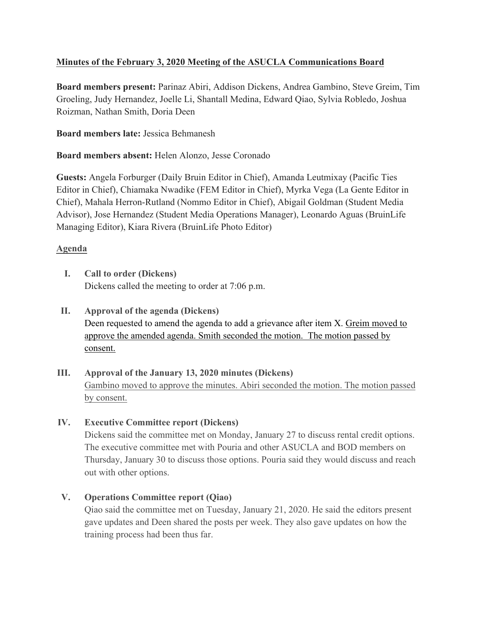# **Minutes of the February 3, 2020 Meeting of the ASUCLA Communications Board**

**Board members present:** Parinaz Abiri, Addison Dickens, Andrea Gambino, Steve Greim, Tim Groeling, Judy Hernandez, Joelle Li, Shantall Medina, Edward Qiao, Sylvia Robledo, Joshua Roizman, Nathan Smith, Doria Deen

**Board members late:** Jessica Behmanesh

**Board members absent:** Helen Alonzo, Jesse Coronado

**Guests:** Angela Forburger (Daily Bruin Editor in Chief), Amanda Leutmixay (Pacific Ties Editor in Chief), Chiamaka Nwadike (FEM Editor in Chief), Myrka Vega (La Gente Editor in Chief), Mahala Herron-Rutland (Nommo Editor in Chief), Abigail Goldman (Student Media Advisor), Jose Hernandez (Student Media Operations Manager), Leonardo Aguas (BruinLife Managing Editor), Kiara Rivera (BruinLife Photo Editor)

### **Agenda**

- **I. Call to order (Dickens)** Dickens called the meeting to order at 7:06 p.m.
- **II. Approval of the agenda (Dickens)** Deen requested to amend the agenda to add a grievance after item X. Greim moved to approve the amended agenda. Smith seconded the motion. The motion passed by consent.
- **III. Approval of the January 13, 2020 minutes (Dickens)** Gambino moved to approve the minutes. Abiri seconded the motion. The motion passed by consent.
- **IV. Executive Committee report (Dickens)**

Dickens said the committee met on Monday, January 27 to discuss rental credit options. The executive committee met with Pouria and other ASUCLA and BOD members on Thursday, January 30 to discuss those options. Pouria said they would discuss and reach out with other options.

# **V. Operations Committee report (Qiao)**

Qiao said the committee met on Tuesday, January 21, 2020. He said the editors present gave updates and Deen shared the posts per week. They also gave updates on how the training process had been thus far.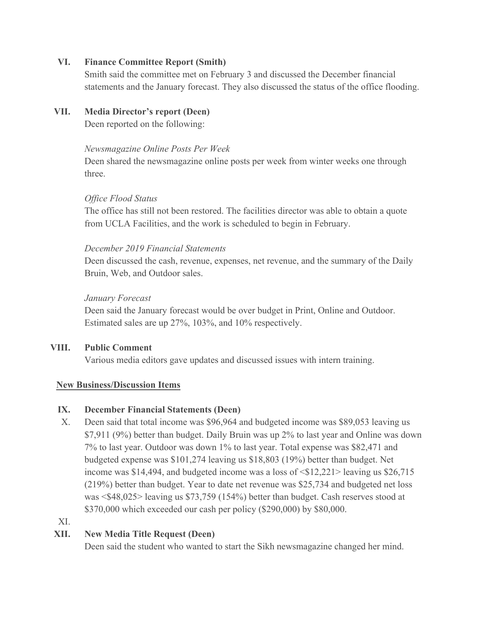#### **VI. Finance Committee Report (Smith)**

Smith said the committee met on February 3 and discussed the December financial statements and the January forecast. They also discussed the status of the office flooding.

### **VII. Media Director's report (Deen)**

Deen reported on the following:

#### *Newsmagazine Online Posts Per Week*

Deen shared the newsmagazine online posts per week from winter weeks one through three.

### *Office Flood Status*

The office has still not been restored. The facilities director was able to obtain a quote from UCLA Facilities, and the work is scheduled to begin in February.

### *December 2019 Financial Statements*

Deen discussed the cash, revenue, expenses, net revenue, and the summary of the Daily Bruin, Web, and Outdoor sales.

### *January Forecast*

Deen said the January forecast would be over budget in Print, Online and Outdoor. Estimated sales are up 27%, 103%, and 10% respectively.

# **VIII. Public Comment**

Various media editors gave updates and discussed issues with intern training.

# **New Business/Discussion Items**

# **IX. December Financial Statements (Deen)**

X. Deen said that total income was \$96,964 and budgeted income was \$89,053 leaving us \$7,911 (9%) better than budget. Daily Bruin was up 2% to last year and Online was down 7% to last year. Outdoor was down 1% to last year. Total expense was \$82,471 and budgeted expense was \$101,274 leaving us \$18,803 (19%) better than budget. Net income was \$14,494, and budgeted income was a loss of  $\langle $12,221 \rangle$  leaving us \$26,715 (219%) better than budget. Year to date net revenue was \$25,734 and budgeted net loss was <\$48,025> leaving us \$73,759 (154%) better than budget. Cash reserves stood at \$370,000 which exceeded our cash per policy (\$290,000) by \$80,000.

# XI.

# **XII. New Media Title Request (Deen)**

Deen said the student who wanted to start the Sikh newsmagazine changed her mind.